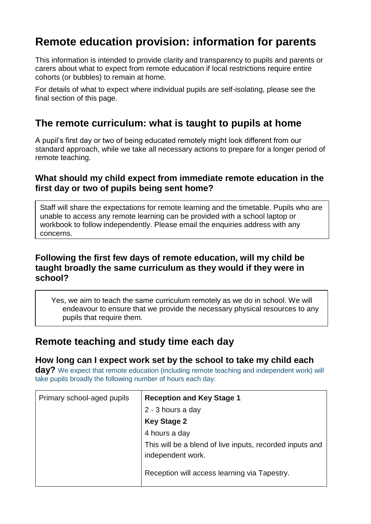# **Remote education provision: information for parents**

This information is intended to provide clarity and transparency to pupils and parents or carers about what to expect from remote education if local restrictions require entire cohorts (or bubbles) to remain at home.

For details of what to expect where individual pupils are self-isolating, please see the final section of this page.

## **The remote curriculum: what is taught to pupils at home**

A pupil's first day or two of being educated remotely might look different from our standard approach, while we take all necessary actions to prepare for a longer period of remote teaching.

### **What should my child expect from immediate remote education in the first day or two of pupils being sent home?**

Staff will share the expectations for remote learning and the timetable. Pupils who are unable to access any remote learning can be provided with a school laptop or workbook to follow independently. Please email the enquiries address with any concerns.

### **Following the first few days of remote education, will my child be taught broadly the same curriculum as they would if they were in school?**

Yes, we aim to teach the same curriculum remotely as we do in school. We will endeavour to ensure that we provide the necessary physical resources to any pupils that require them.

## **Remote teaching and study time each day**

#### **How long can I expect work set by the school to take my child each**

**day?** We expect that remote education (including remote teaching and independent work) will take pupils broadly the following number of hours each day:

| Primary school-aged pupils | <b>Reception and Key Stage 1</b>                                              |
|----------------------------|-------------------------------------------------------------------------------|
|                            | 2 - 3 hours a day                                                             |
|                            | <b>Key Stage 2</b>                                                            |
|                            | 4 hours a day                                                                 |
|                            | This will be a blend of live inputs, recorded inputs and<br>independent work. |
|                            | Reception will access learning via Tapestry.                                  |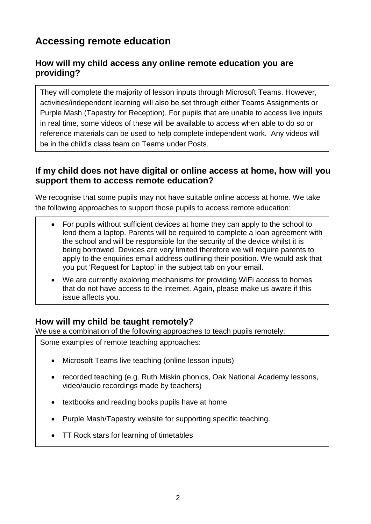# **Accessing remote education**

## **How will my child access any online remote education you are providing?**

They will complete the majority of lesson inputs through Microsoft Teams. However, activities/independent learning will also be set through either Teams Assignments or Purple Mash (Tapestry for Reception). For pupils that are unable to access live inputs in real time, some videos of these will be available to access when able to do so or reference materials can be used to help complete independent work. Any videos will be in the child's class team on Teams under Posts.

## **If my child does not have digital or online access at home, how will you support them to access remote education?**

We recognise that some pupils may not have suitable online access at home. We take the following approaches to support those pupils to access remote education:

- For pupils without sufficient devices at home they can apply to the school to lend them a laptop. Parents will be required to complete a loan agreement with the school and will be responsible for the security of the device whilst it is being borrowed. Devices are very limited therefore we will require parents to apply to the enquiries email address outlining their position. We would ask that you put 'Request for Laptop' in the subject tab on your email.
- We are currently exploring mechanisms for providing WiFi access to homes that do not have access to the internet. Again, please make us aware if this issue affects you.

## **How will my child be taught remotely?**

We use a combination of the following approaches to teach pupils remotely:

Some examples of remote teaching approaches:

- Microsoft Teams live teaching (online lesson inputs)
- recorded teaching (e.g. Ruth Miskin phonics, Oak National Academy lessons, video/audio recordings made by teachers)
- textbooks and reading books pupils have at home
- Purple Mash/Tapestry website for supporting specific teaching.
- TT Rock stars for learning of timetables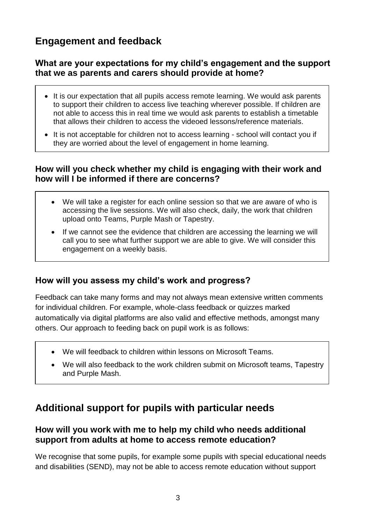## **Engagement and feedback**

### **What are your expectations for my child's engagement and the support that we as parents and carers should provide at home?**

- It is our expectation that all pupils access remote learning. We would ask parents to support their children to access live teaching wherever possible. If children are not able to access this in real time we would ask parents to establish a timetable that allows their children to access the videoed lessons/reference materials.
- It is not acceptable for children not to access learning school will contact you if they are worried about the level of engagement in home learning.

### **How will you check whether my child is engaging with their work and how will I be informed if there are concerns?**

- We will take a register for each online session so that we are aware of who is accessing the live sessions. We will also check, daily, the work that children upload onto Teams, Purple Mash or Tapestry.
- If we cannot see the evidence that children are accessing the learning we will call you to see what further support we are able to give. We will consider this engagement on a weekly basis.

### **How will you assess my child's work and progress?**

Feedback can take many forms and may not always mean extensive written comments for individual children. For example, whole-class feedback or quizzes marked automatically via digital platforms are also valid and effective methods, amongst many others. Our approach to feeding back on pupil work is as follows:

- We will feedback to children within lessons on Microsoft Teams.
- We will also feedback to the work children submit on Microsoft teams, Tapestry and Purple Mash.

## **Additional support for pupils with particular needs**

#### **How will you work with me to help my child who needs additional support from adults at home to access remote education?**

We recognise that some pupils, for example some pupils with special educational needs and disabilities (SEND), may not be able to access remote education without support